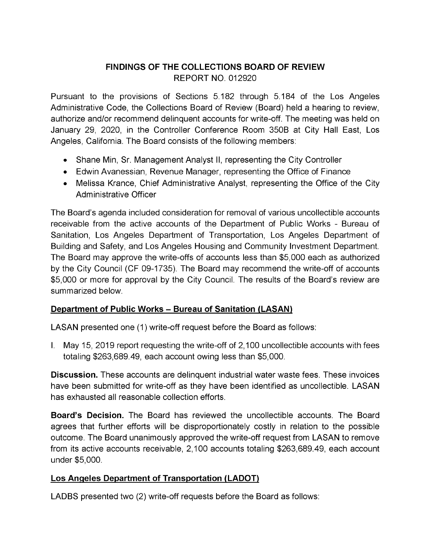# **FINDINGS OF THE COLLECTIONS BOARD OF REVIEW** REPORT NO. 012920

Pursuant to the provisions of Sections 5.182 through 5.184 of the Los Angeles Administrative Code, the Collections Board of Review (Board) held a hearing to review, authorize and/or recommend delinquent accounts for write-off. The meeting was held on January 29, 2020, in the Controller Conference Room 350B at City Hall East, Los Angeles, California. The Board consists of the following members:

- Shane Min, Sr. Management Analyst II, representing the City Controller
- Edwin Avanessian, Revenue Manager, representing the Office of Finance
- Melissa Krance, Chief Administrative Analyst, representing the Office of the City Administrative Officer

The Board's agenda included consideration for removal of various uncollectible accounts receivable from the active accounts of the Department of Public Works - Bureau of Sanitation, Los Angeles Department of Transportation, Los Angeles Department of Building and Safety, and Los Angeles Housing and Community Investment Department. The Board may approve the write-offs of accounts less than \$5,000 each as authorized by the City Council (CF 09-1735). The Board may recommend the write-off of accounts \$5,000 or more for approval by the City Council. The results of the Board's review are summarized below.

## **Department of Public Works - Bureau of Sanitation (LASAN)**

LASAN presented one (1) write-off request before the Board as follows:

I. May 15, 2019 report requesting the write-off of 2,100 uncollectible accounts with fees totaling \$263,689.49, each account owing less than \$5,000.

**Discussion.** These accounts are delinquent industrial water waste fees. These invoices have been submitted for write-off as they have been identified as uncollectible. LASAN has exhausted all reasonable collection efforts.

**Board's Decision.** The Board has reviewed the uncollectible accounts. The Board agrees that further efforts will be disproportionately costly in relation to the possible outcome. The Board unanimously approved the write-off request from LASAN to remove from its active accounts receivable, 2,100 accounts totaling \$263,689.49, each account under \$5,000.

## **Los Angeles Department of Transportation (LADOT)**

LADBS presented two (2) write-off requests before the Board as follows: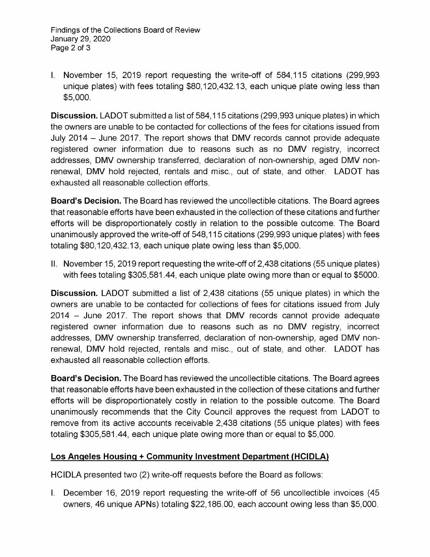I. November 15, 2019 report requesting the write-off of 584,115 citations (299,993 unique plates) with fees totaling \$80,120,432.13, each unique plate owing less than \$5,000.

**Discussion.** LADOT submitted a list of 584,115 citations (299,993 unique plates) in which the owners are unable to be contacted for collections of the fees for citations issued from July <sup>2014</sup> - June 2017. The report shows that DMV records cannot provide adequate registered owner information due to reasons such as no DMV registry, incorrect addresses, DMV ownership transferred, declaration of non-ownership, aged DMV nonrenewal, DMV hold rejected, rentals and misc., out of state, and other. LADOT has exhausted all reasonable collection efforts.

**Board's Decision.** The Board has reviewed the uncollectible citations. The Board agrees that reasonable efforts have been exhausted in the collection of these citations and further efforts will be disproportionately costly in relation to the possible outcome. The Board unanimously approved the write-off of 548,115 citations (299,993 unique plates) with fees totaling \$80,120,432.13, each unique plate owing less than \$5,000.

II. November 15, 2019 report requesting the write-off of 2,438 citations (55 unique plates) with fees totaling \$305,581.44, each unique plate owing more than or equal to \$5000.

**Discussion.** LADOT submitted a list of 2,438 citations (55 unique plates) in which the owners are unable to be contacted for collections of fees for citations issued from July <sup>2014</sup> - June 2017. The report shows that DMV records cannot provide adequate registered owner information due to reasons such as no DMV registry, incorrect addresses, DMV ownership transferred, declaration of non-ownership, aged DMV nonrenewal, DMV hold rejected, rentals and misc., out of state, and other. LADOT has exhausted all reasonable collection efforts.

**Board's Decision.** The Board has reviewed the uncollectible citations. The Board agrees that reasonable efforts have been exhausted in the collection of these citations and further efforts will be disproportionately costly in relation to the possible outcome. The Board unanimously recommends that the City Council approves the request from LADOT to remove from its active accounts receivable 2,438 citations (55 unique plates) with fees totaling \$305,581.44, each unique plate owing more than or equal to \$5,000.

## **Los Angeles Housing + Community Investment Department (HCIDLA)**

HCIDLA presented two (2) write-off requests before the Board as follows:

I. December 16, 2019 report requesting the write-off of 56 uncollectible invoices (45 owners, 46 unique APNs) totaling \$22,186.00, each account owing less than \$5,000.